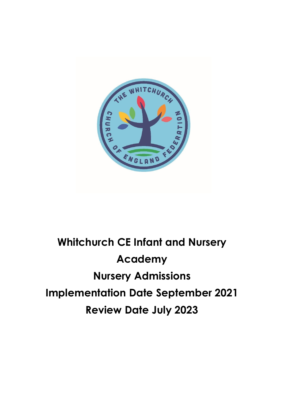

# **Whitchurch CE Infant and Nursery Academy Nursery Admissions Implementation Date September 2021 Review Date July 2023**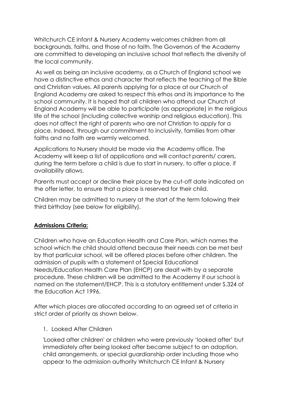Whitchurch CE Infant & Nursery Academy welcomes children from all backgrounds, faiths, and those of no faith. The Governors of the Academy are committed to developing an inclusive school that reflects the diversity of the local community.

As well as being an inclusive academy, as a Church of England school we have a distinctive ethos and character that reflects the teaching of the Bible and Christian values. All parents applying for a place at our Church of England Academy are asked to respect this ethos and its importance to the school community. It is hoped that all children who attend our Church of England Academy will be able to participate (as appropriate) in the religious life of the school (including collective worship and religious education). This does not affect the right of parents who are not Christian to apply for a place. Indeed, through our commitment to inclusivity, families from other faiths and no faith are warmly welcomed.

Applications to Nursery should be made via the Academy office. The Academy will keep a list of applications and will contact parents/ carers, during the term before a child is due to start in nursery, to offer a place, if availability allows.

Parents must accept or decline their place by the cut-off date indicated on the offer letter, to ensure that a place is reserved for their child.

Children may be admitted to nursery at the start of the term following their third birthday (see below for eligibility).

## **Admissions Criteria:**

Children who have an Education Health and Care Plan, which names the school which the child should attend because their needs can be met best by that particular school, will be offered places before other children. The admission of pupils with a statement of Special Educational Needs/Education Health Care Plan (EHCP) are dealt with by a separate procedure. These children will be admitted to the Academy if our school is named on the statement/EHCP. This is a statutory entitlement under S.324 of the Education Act 1996.

After which places are allocated according to an agreed set of criteria in strict order of priority as shown below.

#### 1. Looked After Children

'Looked after children' or children who were previously 'looked after' but immediately after being looked after became subject to an adoption, child arrangements, or special guardianship order including those who appear to the admission authority Whitchurch CE Infant & Nursery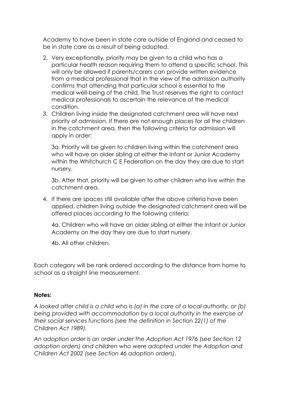Academy to have been in state care outside of England and ceased to be in state care as a result of being adopted.

- 2. Very exceptionally, priority may be given to a child who has a particular health reason requiring them to attend a specific school. This will only be allowed if parents/carers can provide written evidence from a medical professional that in the view of the admission authority confirms that attending that particular school is essential to the medical well-being of the child. The Trust reserves the right to contact medical professionals to ascertain the relevance of the medical condition.
- 3. Children living inside the designated catchment area will have next priority of admission. If there are not enough places for all the children in the catchment area, then the following criteria for admission will apply in order:

3a. Priority will be given to children living within the catchment area who will have an older sibling at either the Infant or Junior Academy within the Whitchurch C E Federation on the day they are due to start nursery.

3b. After that, priority will be given to other children who live within the catchment area.

4. If there are spaces still available after the above criteria have been applied, children living outside the designated catchment area will be offered places according to the following criteria:

4a. Children who will have an older sibling at either the Infant or Junior Academy on the day they are due to start nursery.

4b. All other children.

Each category will be rank ordered according to the distance from home to school as a straight line measurement.

#### **Notes:**

*A looked after child is a child who is (a) in the care of a local authority, or (b) being provided with accommodation by a local authority in the exercise of their social services functions (see the definition in Section 22(1) of the Children Act 1989).*

*An adoption order is an order under the Adoption Act 1976 (see Section 12 adoption orders) and children who were adopted under the Adoption and Children Act 2002 (see Section 46 adoption orders).*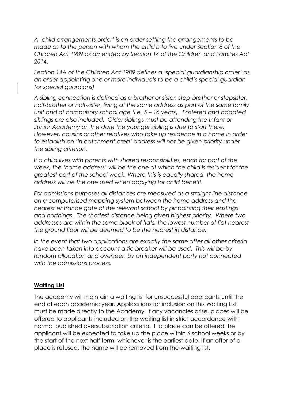*A 'child arrangements order' is an order settling the arrangements to be made as to the person with whom the child is to live under Section 8 of the Children Act 1989 as amended by Section 14 of the Children and Families Act 2014.* 

*Section 14A of the Children Act 1989 defines a 'special guardianship order' as an order appointing one or more individuals to be a child's special guardian (or special guardians)*

*A sibling connection is defined as a brother or sister, step-brother or stepsister, half-brother or half-sister, living at the same address as part of the same family unit and of compulsory school age (i.e. 5 – 16 years). Fostered and adopted siblings are also included. Older siblings must be attending the Infant or Junior Academy on the date the younger sibling is due to start there. However, cousins or other relatives who take up residence in a home in order to establish an 'in catchment area' address will not be given priority under the sibling criterion.* 

*If a child lives with parents with shared responsibilities, each for part of the week, the 'home address' will be the one at which the child is resident for the greatest part of the school week. Where this is equally shared, the home address will be the one used when applying for child benefit.* 

*For admissions purposes all distances are measured as a straight line distance on a computerised mapping system between the home address and the nearest entrance gate of the relevant school by pinpointing their eastings and northings. The shortest distance being given highest priority. Where two addresses are within the same block of flats, the lowest number of flat nearest the ground floor will be deemed to be the nearest in distance.* 

*In the event that two applications are exactly the same after all other criteria have been taken into account a tie breaker will be used. This will be by random allocation and overseen by an independent party not connected with the admissions process.* 

#### **Waiting List**

The academy will maintain a waiting list for unsuccessful applicants until the end of each academic year. Applications for inclusion on this Waiting List must be made directly to the Academy. If any vacancies arise, places will be offered to applicants included on the waiting list in strict accordance with normal published oversubscription criteria. If a place can be offered the applicant will be expected to take up the place within 6 school weeks or by the start of the next half term, whichever is the earliest date. If an offer of a place is refused, the name will be removed from the waiting list.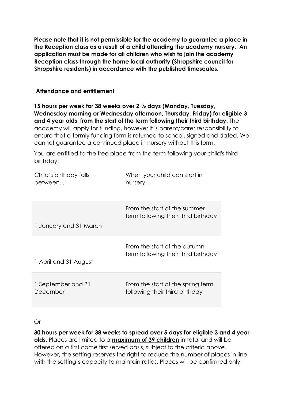**Please note that it is not permissible for the academy to guarantee a place in the Reception class as a result of a child attending the academy nursery. An application must be made for all children who wish to join the academy Reception class through the home local authority (Shropshire council for Shropshire residents) in accordance with the published timescales.** 

#### **Attendance and entitlement**

**15 hours per week for 38 weeks over 2 ½ days (Monday, Tuesday, Wednesday morning or Wednesday afternoon, Thursday, Friday) for eligible 3 and 4 year olds, from the start of the term following their third birthday.** The academy will apply for funding, however it is parent/carer responsibility to ensure that a termly funding form is returned to school, signed and dated. We cannot guarantee a continued place in nursery without this form.

You are entitled to the free place from the term following your child's third birthday:

| Child's birthday falls | When your child can start in                                        |
|------------------------|---------------------------------------------------------------------|
| between                | nursery                                                             |
| 1 January and 31 March | From the start of the summer<br>term following their third birthday |
| 1 April and 31 August  | From the start of the autumn<br>term following their third birthday |
| 1 September and 31     | From the start of the spring term                                   |
| December               | following their third birthday                                      |

Or

**30 hours per week for 38 weeks to spread over 5 days for eligible 3 and 4 year olds.** Places are limited to a **maximum of 39 children** in total and will be offered on a first come first served basis, subject to the criteria above. However, the setting reserves the right to reduce the number of places in line with the setting's capacity to maintain ratios. Places will be confirmed only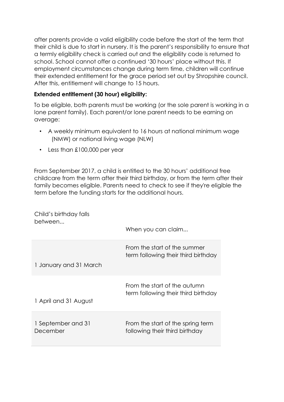after parents provide a valid eligibility code before the start of the term that their child is due to start in nursery. It is the parent's responsibility to ensure that a termly eligibility check is carried out and the eligibility code is returned to school. School cannot offer a continued '30 hours' place without this. If employment circumstances change during term time, children will continue their extended entitlement for the grace period set out by Shropshire council. After this, entitlement will change to 15 hours.

# **Extended entitlement (30 hour) eligibility:**

To be eligible, both parents must be working (or the sole parent is working in a lone parent family). Each parent/or lone parent needs to be earning on average:

- A weekly minimum equivalent to 16 hours at national minimum wage (NMW) or national living wage (NLW)
- Less than £100,000 per year

From September 2017, a child is entitled to the 30 hours' additional free childcare from the term after their third birthday, or from the term after their family becomes eligible. Parents need to check to see if they're eligible the term before the funding starts for the additional hours.

| Child's birthday falls<br>between | When you can claim                                                  |
|-----------------------------------|---------------------------------------------------------------------|
|                                   |                                                                     |
|                                   | From the start of the summer<br>term following their third birthday |
| 1 January and 31 March            |                                                                     |
|                                   | From the start of the autumn<br>term following their third birthday |
| 1 April and 31 August             |                                                                     |
| 1 September and 31<br>December    | From the start of the spring term<br>following their third birthday |